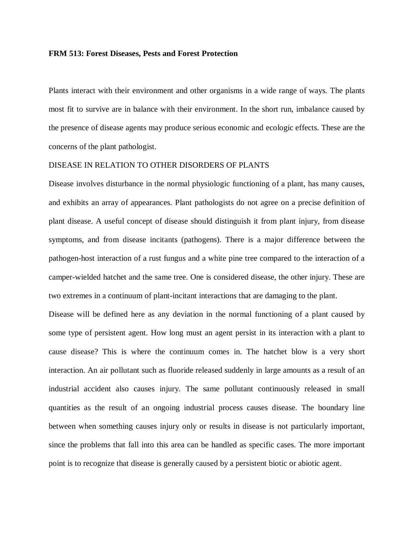# **FRM 513: Forest Diseases, Pests and Forest Protection**

Plants interact with their environment and other organisms in a wide range of ways. The plants most fit to survive are in balance with their environment. In the short run, imbalance caused by the presence of disease agents may produce serious economic and ecologic effects. These are the concerns of the plant pathologist.

# DISEASE IN RELATION TO OTHER DISORDERS OF PLANTS

Disease involves disturbance in the normal physiologic functioning of a plant, has many causes, and exhibits an array of appearances. Plant pathologists do not agree on a precise definition of plant disease. A useful concept of disease should distinguish it from plant injury, from disease symptoms, and from disease incitants (pathogens). There is a major difference between the pathogen-host interaction of a rust fungus and a white pine tree compared to the interaction of a camper-wielded hatchet and the same tree. One is considered disease, the other injury. These are two extremes in a continuum of plant-incitant interactions that are damaging to the plant.

Disease will be defined here as any deviation in the normal functioning of a plant caused by some type of persistent agent. How long must an agent persist in its interaction with a plant to cause disease? This is where the continuum comes in. The hatchet blow is a very short interaction. An air pollutant such as fluoride released suddenly in large amounts as a result of an industrial accident also causes injury. The same pollutant continuously released in small quantities as the result of an ongoing industrial process causes disease. The boundary line between when something causes injury only or results in disease is not particularly important, since the problems that fall into this area can be handled as specific cases. The more important point is to recognize that disease is generally caused by a persistent biotic or abiotic agent.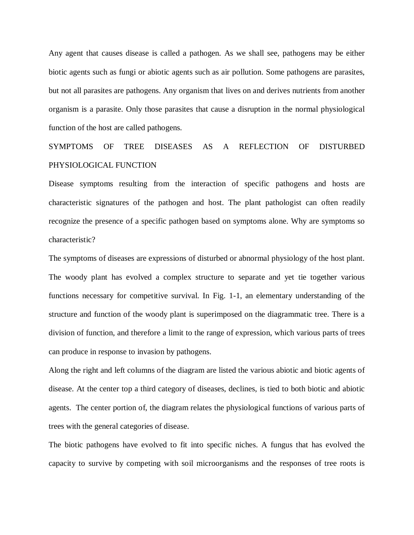Any agent that causes disease is called a pathogen. As we shall see, pathogens may be either biotic agents such as fungi or abiotic agents such as air pollution. Some pathogens are parasites, but not all parasites are pathogens. Any organism that lives on and derives nutrients from another organism is a parasite. Only those parasites that cause a disruption in the normal physiological function of the host are called pathogens.

SYMPTOMS OF TREE DISEASES AS A REFLECTION OF DISTURBED PHYSIOLOGICAL FUNCTION

Disease symptoms resulting from the interaction of specific pathogens and hosts are characteristic signatures of the pathogen and host. The plant pathologist can often readily recognize the presence of a specific pathogen based on symptoms alone. Why are symptoms so characteristic?

The symptoms of diseases are expressions of disturbed or abnormal physiology of the host plant. The woody plant has evolved a complex structure to separate and yet tie together various functions necessary for competitive survival. In Fig. 1-1, an elementary understanding of the structure and function of the woody plant is superimposed on the diagrammatic tree. There is a division of function, and therefore a limit to the range of expression, which various parts of trees can produce in response to invasion by pathogens.

Along the right and left columns of the diagram are listed the various abiotic and biotic agents of disease. At the center top a third category of diseases, declines, is tied to both biotic and abiotic agents. The center portion of, the diagram relates the physiological functions of various parts of trees with the general categories of disease.

The biotic pathogens have evolved to fit into specific niches. A fungus that has evolved the capacity to survive by competing with soil microorganisms and the responses of tree roots is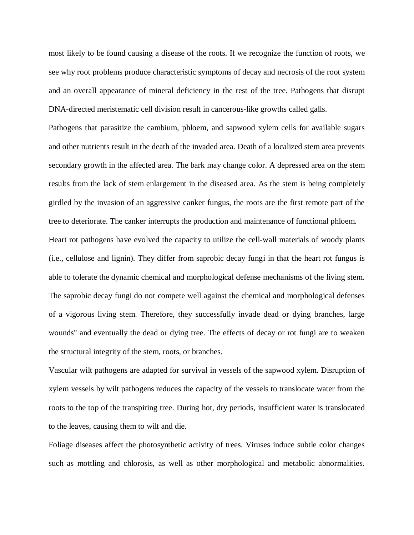most likely to be found causing a disease of the roots. If we recognize the function of roots, we see why root problems produce characteristic symptoms of decay and necrosis of the root system and an overall appearance of mineral deficiency in the rest of the tree. Pathogens that disrupt DNA-directed meristematic cell division result in cancerous-like growths called galls.

Pathogens that parasitize the cambium, phloem, and sapwood xylem cells for available sugars and other nutrients result in the death of the invaded area. Death of a localized stem area prevents secondary growth in the affected area. The bark may change color. A depressed area on the stem results from the lack of stem enlargement in the diseased area. As the stem is being completely girdled by the invasion of an aggressive canker fungus, the roots are the first remote part of the tree to deteriorate. The canker interrupts the production and maintenance of functional phloem. Heart rot pathogens have evolved the capacity to utilize the cell-wall materials of woody plants

(i.e., cellulose and lignin). They differ from saprobic decay fungi in that the heart rot fungus is able to tolerate the dynamic chemical and morphological defense mechanisms of the living stem. The saprobic decay fungi do not compete well against the chemical and morphological defenses of a vigorous living stem. Therefore, they successfully invade dead or dying branches, large wounds" and eventually the dead or dying tree. The effects of decay or rot fungi are to weaken the structural integrity of the stem, roots, or branches.

Vascular wilt pathogens are adapted for survival in vessels of the sapwood xylem. Disruption of xylem vessels by wilt pathogens reduces the capacity of the vessels to translocate water from the roots to the top of the transpiring tree. During hot, dry periods, insufficient water is translocated to the leaves, causing them to wilt and die.

Foliage diseases affect the photosynthetic activity of trees. Viruses induce subtle color changes such as mottling and chlorosis, as well as other morphological and metabolic abnormalities.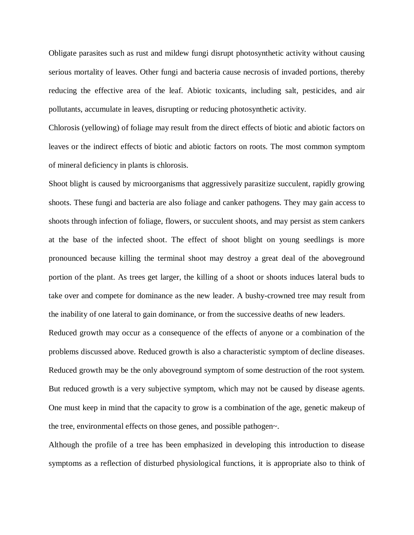Obligate parasites such as rust and mildew fungi disrupt photosynthetic activity without causing serious mortality of leaves. Other fungi and bacteria cause necrosis of invaded portions, thereby reducing the effective area of the leaf. Abiotic toxicants, including salt, pesticides, and air pollutants, accumulate in leaves, disrupting or reducing photosynthetic activity.

Chlorosis (yellowing) of foliage may result from the direct effects of biotic and abiotic factors on leaves or the indirect effects of biotic and abiotic factors on roots. The most common symptom of mineral deficiency in plants is chlorosis.

Shoot blight is caused by microorganisms that aggressively parasitize succulent, rapidly growing shoots. These fungi and bacteria are also foliage and canker pathogens. They may gain access to shoots through infection of foliage, flowers, or succulent shoots, and may persist as stem cankers at the base of the infected shoot. The effect of shoot blight on young seedlings is more pronounced because killing the terminal shoot may destroy a great deal of the aboveground portion of the plant. As trees get larger, the killing of a shoot or shoots induces lateral buds to take over and compete for dominance as the new leader. A bushy-crowned tree may result from the inability of one lateral to gain dominance, or from the successive deaths of new leaders.

Reduced growth may occur as a consequence of the effects of anyone or a combination of the problems discussed above. Reduced growth is also a characteristic symptom of decline diseases. Reduced growth may be the only aboveground symptom of some destruction of the root system. But reduced growth is a very subjective symptom, which may not be caused by disease agents. One must keep in mind that the capacity to grow is a combination of the age, genetic makeup of the tree, environmental effects on those genes, and possible pathogen~.

Although the profile of a tree has been emphasized in developing this introduction to disease symptoms as a reflection of disturbed physiological functions, it is appropriate also to think of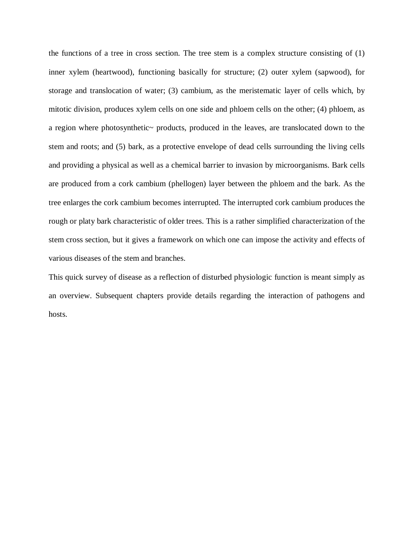the functions of a tree in cross section. The tree stem is a complex structure consisting of (1) inner xylem (heartwood), functioning basically for structure; (2) outer xylem (sapwood), for storage and translocation of water; (3) cambium, as the meristematic layer of cells which, by mitotic division, produces xylem cells on one side and phloem cells on the other; (4) phloem, as a region where photosynthetic~ products, produced in the leaves, are translocated down to the stem and roots; and (5) bark, as a protective envelope of dead cells surrounding the living cells and providing a physical as well as a chemical barrier to invasion by microorganisms. Bark cells are produced from a cork cambium (phellogen) layer between the phloem and the bark. As the tree enlarges the cork cambium becomes interrupted. The interrupted cork cambium produces the rough or platy bark characteristic of older trees. This is a rather simplified characterization of the stem cross section, but it gives a framework on which one can impose the activity and effects of various diseases of the stem and branches.

This quick survey of disease as a reflection of disturbed physiologic function is meant simply as an overview. Subsequent chapters provide details regarding the interaction of pathogens and hosts.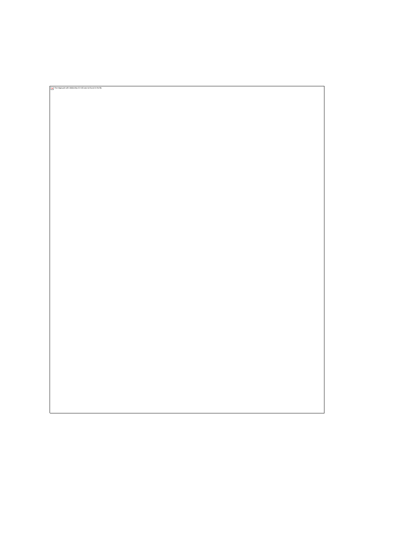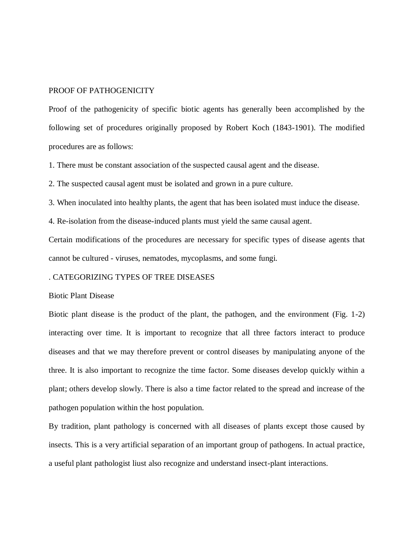# PROOF OF PATHOGENICITY

Proof of the pathogenicity of specific biotic agents has generally been accomplished by the following set of procedures originally proposed by Robert Koch (1843-1901). The modified procedures are as follows:

1. There must be constant association of the suspected causal agent and the disease.

2. The suspected causal agent must be isolated and grown in a pure culture.

3. When inoculated into healthy plants, the agent that has been isolated must induce the disease.

4. Re-isolation from the disease-induced plants must yield the same causal agent.

Certain modifications of the procedures are necessary for specific types of disease agents that cannot be cultured - viruses, nematodes, mycoplasms, and some fungi.

# . CATEGORIZING TYPES OF TREE DISEASES

# Biotic Plant Disease

Biotic plant disease is the product of the plant, the pathogen, and the environment (Fig. 1-2) interacting over time. It is important to recognize that all three factors interact to produce diseases and that we may therefore prevent or control diseases by manipulating anyone of the three. It is also important to recognize the time factor. Some diseases develop quickly within a plant; others develop slowly. There is also a time factor related to the spread and increase of the pathogen population within the host population.

By tradition, plant pathology is concerned with all diseases of plants except those caused by insects. This is a very artificial separation of an important group of pathogens. In actual practice, a useful plant pathologist liust also recognize and understand insect-plant interactions.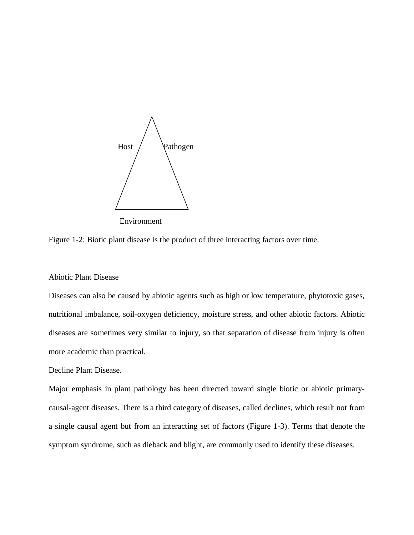

Environment



Abiotic Plant Disease

Diseases can also be caused by abiotic agents such as high or low temperature, phytotoxic gases, nutritional imbalance, soil-oxygen deficiency, moisture stress, and other abiotic factors. Abiotic diseases are sometimes very similar to injury, so that separation of disease from injury is often more academic than practical.

Decline Plant Disease.

Major emphasis in plant pathology has been directed toward single biotic or abiotic primarycausal-agent diseases. There is a third category of diseases, called declines, which result not from a single causal agent but from an interacting set of factors (Figure 1-3). Terms that denote the symptom syndrome, such as dieback and blight, are commonly used to identify these diseases.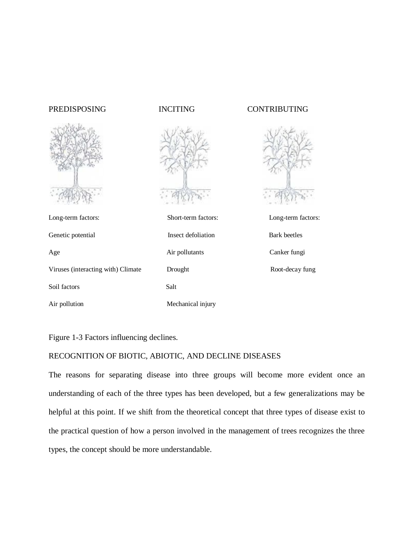

Viruses (interacting with) Climate Drought Root-decay fung

Soil factors Salt



# PREDISPOSING INCITING CONTRIBUTING



Long-term factors: Short-term factors: Long-term factors: Genetic potential **Insect defoliation** Bark beetles Age Air pollutants Canker fungi Air pollution Mechanical injury

Figure 1-3 Factors influencing declines.

# RECOGNITION OF BIOTIC, ABIOTIC, AND DECLINE DISEASES

The reasons for separating disease into three groups will become more evident once an understanding of each of the three types has been developed, but a few generalizations may be helpful at this point. If we shift from the theoretical concept that three types of disease exist to the practical question of how a person involved in the management of trees recognizes the three types, the concept should be more understandable.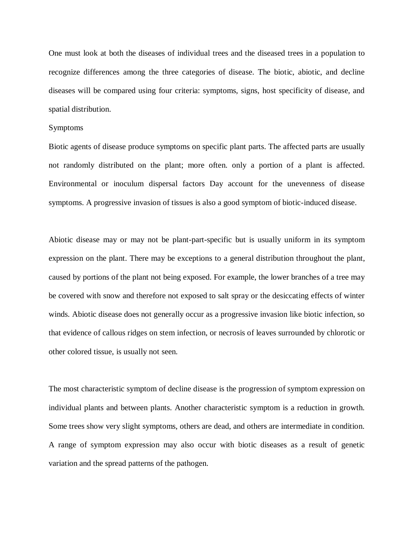One must look at both the diseases of individual trees and the diseased trees in a population to recognize differences among the three categories of disease. The biotic, abiotic, and decline diseases will be compared using four criteria: symptoms, signs, host specificity of disease, and spatial distribution.

# Symptoms

Biotic agents of disease produce symptoms on specific plant parts. The affected parts are usually not randomly distributed on the plant; more often. only a portion of a plant is affected. Environmental or inoculum dispersal factors Day account for the unevenness of disease symptoms. A progressive invasion of tissues is also a good symptom of biotic-induced disease.

Abiotic disease may or may not be plant-part-specific but is usually uniform in its symptom expression on the plant. There may be exceptions to a general distribution throughout the plant, caused by portions of the plant not being exposed. For example, the lower branches of a tree may be covered with snow and therefore not exposed to salt spray or the desiccating effects of winter winds. Abiotic disease does not generally occur as a progressive invasion like biotic infection, so that evidence of callous ridges on stem infection, or necrosis of leaves surrounded by chlorotic or other colored tissue, is usually not seen.

The most characteristic symptom of decline disease is the progression of symptom expression on individual plants and between plants. Another characteristic symptom is a reduction in growth. Some trees show very slight symptoms, others are dead, and others are intermediate in condition. A range of symptom expression may also occur with biotic diseases as a result of genetic variation and the spread patterns of the pathogen.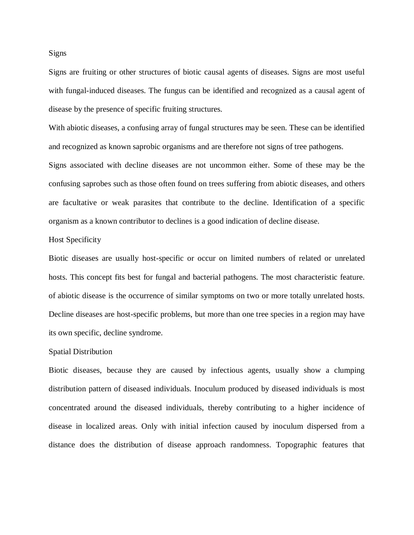Signs

Signs are fruiting or other structures of biotic causal agents of diseases. Signs are most useful with fungal-induced diseases. The fungus can be identified and recognized as a causal agent of disease by the presence of specific fruiting structures.

With abiotic diseases, a confusing array of fungal structures may be seen. These can be identified and recognized as known saprobic organisms and are therefore not signs of tree pathogens.

Signs associated with decline diseases are not uncommon either. Some of these may be the confusing saprobes such as those often found on trees suffering from abiotic diseases, and others are facultative or weak parasites that contribute to the decline. Identification of a specific organism as a known contributor to declines is a good indication of decline disease.

### Host Specificity

Biotic diseases are usually host-specific or occur on limited numbers of related or unrelated hosts. This concept fits best for fungal and bacterial pathogens. The most characteristic feature. of abiotic disease is the occurrence of similar symptoms on two or more totally unrelated hosts. Decline diseases are host-specific problems, but more than one tree species in a region may have its own specific, decline syndrome.

### Spatial Distribution

Biotic diseases, because they are caused by infectious agents, usually show a clumping distribution pattern of diseased individuals. Inoculum produced by diseased individuals is most concentrated around the diseased individuals, thereby contributing to a higher incidence of disease in localized areas. Only with initial infection caused by inoculum dispersed from a distance does the distribution of disease approach randomness. Topographic features that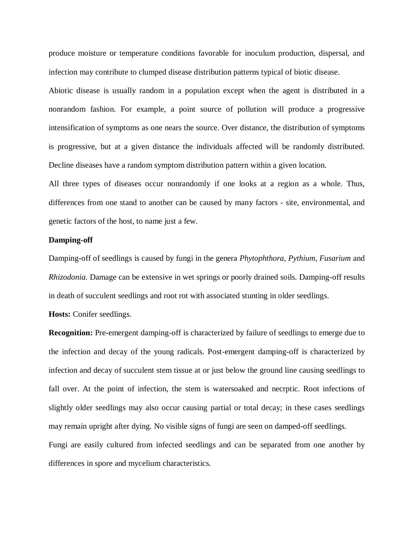produce moisture or temperature conditions favorable for inoculum production, dispersal, and infection may contribute to clumped disease distribution patterns typical of biotic disease.

Abiotic disease is usually random in a population except when the agent is distributed in a nonrandom fashion. For example, a point source of pollution will produce a progressive intensification of symptoms as one nears the source. Over distance, the distribution of symptoms is progressive, but at a given distance the individuals affected will be randomly distributed. Decline diseases have a random symptom distribution pattern within a given location.

All three types of diseases occur nonrandomly if one looks at a region as a whole. Thus, differences from one stand to another can be caused by many factors - site, environmental, and genetic factors of the host, to name just a few.

# **Damping-off**

Damping-off of seedlings is caused by fungi in the genera *Phytophthora, Pythium, Fusarium* and *Rhizodonia.* Damage can be extensive in wet springs or poorly drained soils. Damping-off results in death of succulent seedlings and root rot with associated stunting in older seedlings.

**Hosts:** Conifer seedlings.

**Recognition:** Pre-emergent damping-off is characterized by failure of seedlings to emerge due to the infection and decay of the young radicals. Post-emergent damping-off is characterized by infection and decay of succulent stem tissue at or just below the ground line causing seedlings to fall over. At the point of infection, the stem is watersoaked and necrptic. Root infections of slightly older seedlings may also occur causing partial or total decay; in these cases seedlings may remain upright after dying. No visible signs of fungi are seen on damped-off seedlings. Fungi are easily cultured from infected seedlings and can be separated from one another by differences in spore and mycelium characteristics.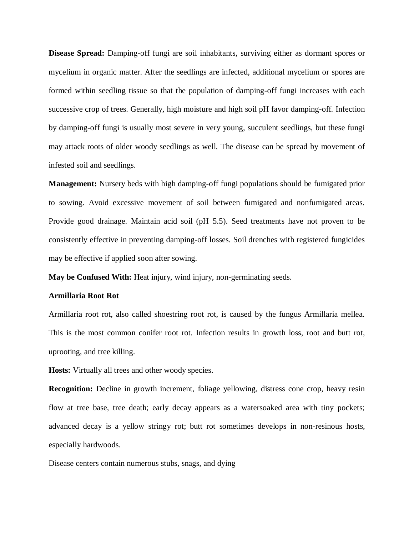**Disease Spread:** Damping-off fungi are soil inhabitants, surviving either as dormant spores or mycelium in organic matter. After the seedlings are infected, additional mycelium or spores are formed within seedling tissue so that the population of damping-off fungi increases with each successive crop of trees. Generally, high moisture and high soil pH favor damping-off. Infection by damping-off fungi is usually most severe in very young, succulent seedlings, but these fungi may attack roots of older woody seedlings as well. The disease can be spread by movement of infested soil and seedlings.

**Management:** Nursery beds with high damping-off fungi populations should be fumigated prior to sowing. Avoid excessive movement of soil between fumigated and nonfumigated areas. Provide good drainage. Maintain acid soil (pH 5.5). Seed treatments have not proven to be consistently effective in preventing damping-off losses. Soil drenches with registered fungicides may be effective if applied soon after sowing.

**May be Confused With:** Heat injury, wind injury, non-germinating seeds.

# **Armillaria Root Rot**

Armillaria root rot, also called shoestring root rot, is caused by the fungus Armillaria mellea. This is the most common conifer root rot. Infection results in growth loss, root and butt rot, uprooting, and tree killing.

**Hosts:** Virtually all trees and other woody species.

**Recognition:** Decline in growth increment, foliage yellowing, distress cone crop, heavy resin flow at tree base, tree death; early decay appears as a watersoaked area with tiny pockets; advanced decay is a yellow stringy rot; butt rot sometimes develops in non-resinous hosts, especially hardwoods.

Disease centers contain numerous stubs, snags, and dying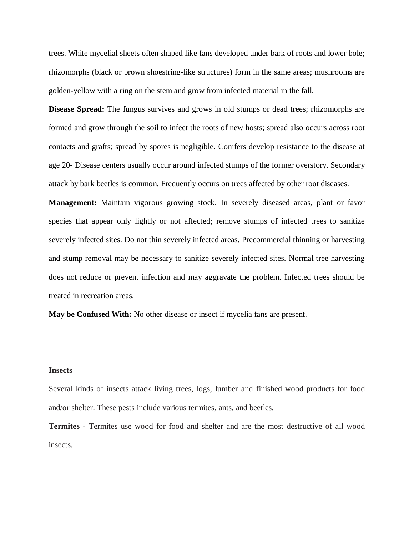trees. White mycelial sheets often shaped like fans developed under bark of roots and lower bole; rhizomorphs (black or brown shoestring-like structures) form in the same areas; mushrooms are golden-yellow with a ring on the stem and grow from infected material in the fall.

**Disease Spread:** The fungus survives and grows in old stumps or dead trees; rhizomorphs are formed and grow through the soil to infect the roots of new hosts; spread also occurs across root contacts and grafts; spread by spores is negligible. Conifers develop resistance to the disease at age 20- Disease centers usually occur around infected stumps of the former overstory. Secondary attack by bark beetles is common. Frequently occurs on trees affected by other root diseases.

**Management:** Maintain vigorous growing stock. In severely diseased areas, plant or favor species that appear only lightly or not affected; remove stumps of infected trees to sanitize severely infected sites. Do not thin severely infected areas**.** Precommercial thinning or harvesting and stump removal may be necessary to sanitize severely infected sites. Normal tree harvesting does not reduce or prevent infection and may aggravate the problem. Infected trees should be treated in recreation areas.

**May be Confused With:** No other disease or insect if mycelia fans are present.

# **Insects**

Several kinds of insects attack living trees, logs, lumber and finished wood products for food and/or shelter. These pests include various termites, ants, and beetles.

**Termites** - Termites use wood for food and shelter and are the most destructive of all wood insects.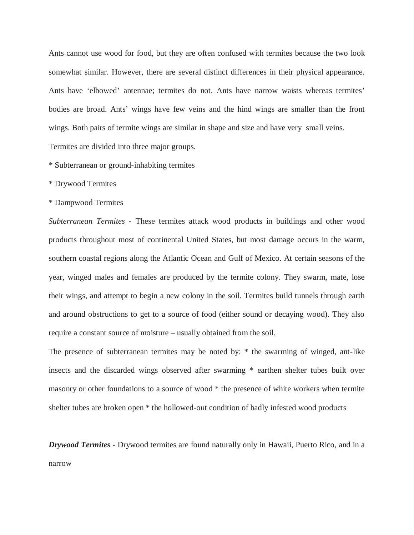Ants cannot use wood for food, but they are often confused with termites because the two look somewhat similar. However, there are several distinct differences in their physical appearance. Ants have 'elbowed' antennae; termites do not. Ants have narrow waists whereas termites' bodies are broad. Ants' wings have few veins and the hind wings are smaller than the front wings. Both pairs of termite wings are similar in shape and size and have very small veins. Termites are divided into three major groups.

\* Subterranean or ground-inhabiting termites

\* Drywood Termites

\* Dampwood Termites

*Subterranean Termites -* These termites attack wood products in buildings and other wood products throughout most of continental United States, but most damage occurs in the warm, southern coastal regions along the Atlantic Ocean and Gulf of Mexico. At certain seasons of the year, winged males and females are produced by the termite colony. They swarm, mate, lose their wings, and attempt to begin a new colony in the soil. Termites build tunnels through earth and around obstructions to get to a source of food (either sound or decaying wood). They also require a constant source of moisture – usually obtained from the soil.

The presence of subterranean termites may be noted by: \* the swarming of winged, ant-like insects and the discarded wings observed after swarming \* earthen shelter tubes built over masonry or other foundations to a source of wood \* the presence of white workers when termite shelter tubes are broken open \* the hollowed-out condition of badly infested wood products

*Drywood Termites -* Drywood termites are found naturally only in Hawaii, Puerto Rico, and in a narrow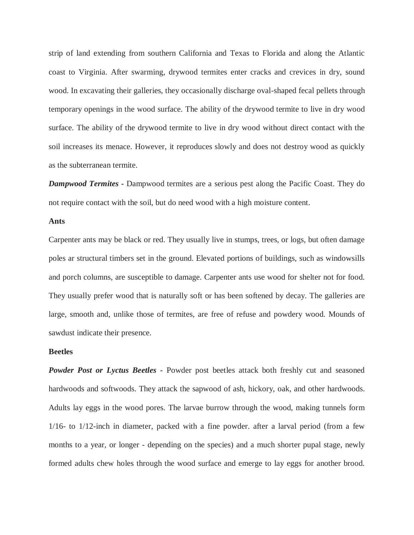strip of land extending from southern California and Texas to Florida and along the Atlantic coast to Virginia. After swarming, drywood termites enter cracks and crevices in dry, sound wood. In excavating their galleries, they occasionally discharge oval-shaped fecal pellets through temporary openings in the wood surface. The ability of the drywood termite to live in dry wood surface. The ability of the drywood termite to live in dry wood without direct contact with the soil increases its menace. However, it reproduces slowly and does not destroy wood as quickly as the subterranean termite.

*Dampwood Termites* **-** Dampwood termites are a serious pest along the Pacific Coast. They do not require contact with the soil, but do need wood with a high moisture content.

# **Ants**

Carpenter ants may be black or red. They usually live in stumps, trees, or logs, but often damage poles ar structural timbers set in the ground. Elevated portions of buildings, such as windowsills and porch columns, are susceptible to damage. Carpenter ants use wood for shelter not for food. They usually prefer wood that is naturally soft or has been softened by decay. The galleries are large, smooth and, unlike those of termites, are free of refuse and powdery wood. Mounds of sawdust indicate their presence.

# **Beetles**

*Powder Post or Lyctus Beetles* **-** Powder post beetles attack both freshly cut and seasoned hardwoods and softwoods. They attack the sapwood of ash, hickory, oak, and other hardwoods. Adults lay eggs in the wood pores. The larvae burrow through the wood, making tunnels form 1/16- to 1/12-inch in diameter, packed with a fine powder. after a larval period (from a few months to a year, or longer - depending on the species) and a much shorter pupal stage, newly formed adults chew holes through the wood surface and emerge to lay eggs for another brood.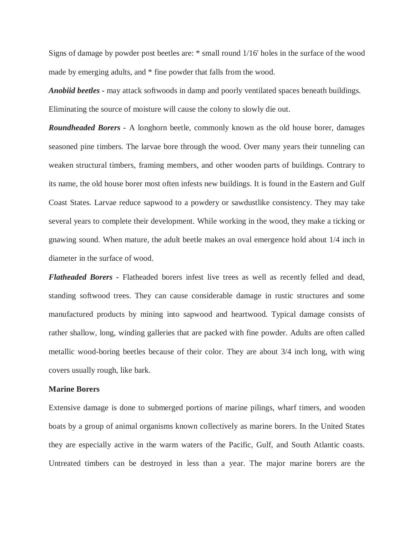Signs of damage by powder post beetles are: \* small round 1/16' holes in the surface of the wood made by emerging adults, and \* fine powder that falls from the wood.

*Anobiid beetles* **-** may attack softwoods in damp and poorly ventilated spaces beneath buildings. Eliminating the source of moisture will cause the colony to slowly die out.

*Roundheaded Borers* **-** A longhorn beetle, commonly known as the old house borer, damages seasoned pine timbers. The larvae bore through the wood. Over many years their tunneling can weaken structural timbers, framing members, and other wooden parts of buildings. Contrary to its name, the old house borer most often infests new buildings. It is found in the Eastern and Gulf Coast States. Larvae reduce sapwood to a powdery or sawdustlike consistency. They may take several years to complete their development. While working in the wood, they make a ticking or gnawing sound. When mature, the adult beetle makes an oval emergence hold about 1/4 inch in diameter in the surface of wood.

*Flatheaded Borers* **-** Flatheaded borers infest live trees as well as recently felled and dead, standing softwood trees. They can cause considerable damage in rustic structures and some manufactured products by mining into sapwood and heartwood. Typical damage consists of rather shallow, long, winding galleries that are packed with fine powder. Adults are often called metallic wood-boring beetles because of their color. They are about 3/4 inch long, with wing covers usually rough, like bark.

# **Marine Borers**

Extensive damage is done to submerged portions of marine pilings, wharf timers, and wooden boats by a group of animal organisms known collectively as marine borers. In the United States they are especially active in the warm waters of the Pacific, Gulf, and South Atlantic coasts. Untreated timbers can be destroyed in less than a year. The major marine borers are the